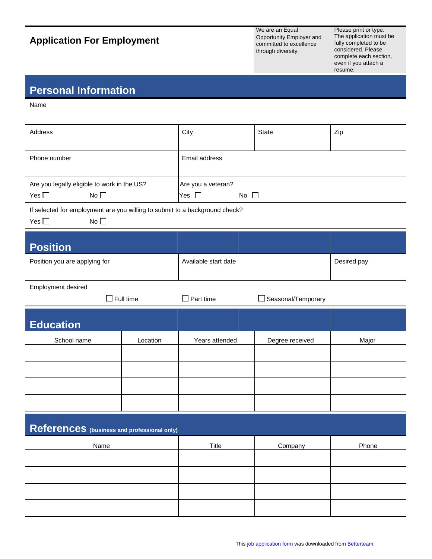## **Application For Employment**

We are an Equal Opportunity Employer and committed to excellence through diversity.

Please print or type. The application must be fully completed to be considered. Please complete each section, even if you attach a resume.

## **Personal Information**

Name

| Address                                                                                                         |          | City                                                | State              | Zip         |  |
|-----------------------------------------------------------------------------------------------------------------|----------|-----------------------------------------------------|--------------------|-------------|--|
| Phone number                                                                                                    |          | Email address                                       |                    |             |  |
| Are you legally eligible to work in the US?<br>No <sub>1</sub><br>Yes $\square$                                 |          | Are you a veteran?<br>Yes $\square$<br>No $\square$ |                    |             |  |
| If selected for employment are you willing to submit to a background check?<br>No <sub>1</sub><br>Yes $\square$ |          |                                                     |                    |             |  |
| <b>Position</b>                                                                                                 |          |                                                     |                    |             |  |
| Position you are applying for                                                                                   |          | Available start date                                |                    | Desired pay |  |
| Employment desired<br>$\Box$ Full time                                                                          |          | $\Box$ Part time                                    | Seasonal/Temporary |             |  |
| <b>Education</b>                                                                                                |          |                                                     |                    |             |  |
| School name                                                                                                     | Location | Years attended                                      | Degree received    | Major       |  |
|                                                                                                                 |          |                                                     |                    |             |  |
|                                                                                                                 |          |                                                     |                    |             |  |
|                                                                                                                 |          |                                                     |                    |             |  |
|                                                                                                                 |          |                                                     |                    |             |  |
| References (business and professional only)                                                                     |          |                                                     |                    |             |  |
| Name                                                                                                            |          | <b>Title</b>                                        | Company            | Phone       |  |
|                                                                                                                 |          |                                                     |                    |             |  |
|                                                                                                                 |          |                                                     |                    |             |  |
|                                                                                                                 |          |                                                     |                    |             |  |
|                                                                                                                 |          |                                                     |                    |             |  |